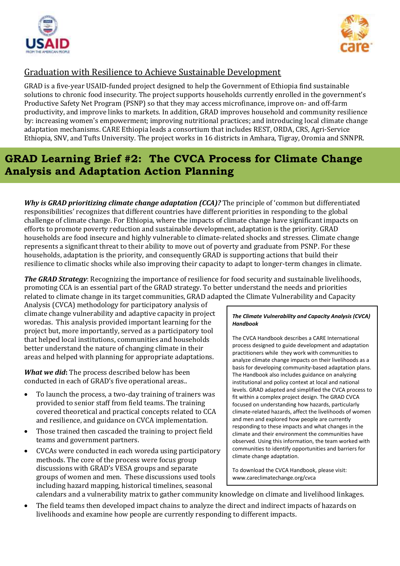



## Graduation with Resilience to Achieve Sustainable Development

GRAD is a five-year USAID-funded project designed to help the Government of Ethiopia find sustainable solutions to chronic food insecurity. The project supports households currently enrolled in the government's Productive Safety Net Program (PSNP) so that they may access microfinance, improve on- and off-farm productivity, and improve links to markets. In addition, GRAD improves household and community resilience by: increasing women's empowerment; improving nutritional practices; and introducing local climate change adaptation mechanisms. CARE Ethiopia leads a consortium that includes REST, ORDA, CRS, Agri-Service Ethiopia, SNV, and Tufts University. The project works in 16 districts in Amhara, Tigray, Oromia and SNNPR.

## **GRAD Learning Brief #2: The CVCA Process for Climate Change Analysis and Adaptation Action Planning**

*Why is GRAD prioritizing climate change adaptation (CCA)?* The principle of 'common but differentiated responsibilities' recognizes that different countries have different priorities in responding to the global challenge of climate change. For Ethiopia, where the impacts of climate change have significant impacts on efforts to promote poverty reduction and sustainable development, adaptation is the priority. GRAD households are food insecure and highly vulnerable to climate-related shocks and stresses. Climate change represents a significant threat to their ability to move out of poverty and graduate from PSNP. For these households, adaptation is the priority, and consequently GRAD is supporting actions that build their resilience to climatic shocks while also improving their capacity to adapt to longer-term changes in climate.

*The GRAD Strategy*: Recognizing the importance of resilience for food security and sustainable livelihoods, promoting CCA is an essential part of the GRAD strategy. To better understand the needs and priorities related to climate change in its target communities, GRAD adapted the Climate Vulnerability and Capacity

Analysis (CVCA) methodology for participatory analysis of climate change vulnerability and adaptive capacity in project woredas. This analysis provided important learning for the project but, more importantly, served as a participatory tool that helped local institutions, communities and households better understand the nature of changing climate in their areas and helped with planning for appropriate adaptations.

*What we did***:** The process described below has been conducted in each of GRAD's five operational areas..

- To launch the process, a two-day training of trainers was provided to senior staff from field teams. The training covered theoretical and practical concepts related to CCA and resilience, and guidance on CVCA implementation.
- Those trained then cascaded the training to project field teams and government partners.
- CVCAs were conducted in each woreda using participatory methods. The core of the process were focus group discussions with GRAD's VESA groups and separate groups of women and men. These discussions used tools including hazard mapping, historical timelines, seasonal

## *The Climate Vulnerability and Capacity Analysis (CVCA) Handbook*

The CVCA Handbook describes a CARE International process designed to guide development and adaptation practitioners while they work with communities to analyze climate change impacts on their livelihoods as a basis for developing community-based adaptation plans. The Handbook also includes guidance on analyzing institutional and policy context at local and national levels. GRAD adapted and simplified the CVCA process to fit within a complex project design. The GRAD CVCA focused on understanding how hazards, particularly climate-related hazards, affect the livelihoods of women and men and explored how people are currently responding to these impacts and what changes in the climate and their environment the communities have observed. Using this information, the team worked with communities to identify opportunities and barriers for climate change adaptation.

To download the CVCA Handbook, please visit: www.careclimatechange.org/cvca

calendars and a vulnerability matrix to gather community knowledge on climate and livelihood linkages.

 The field teams then developed impact chains to analyze the direct and indirect impacts of hazards on livelihoods and examine how people are currently responding to different impacts.